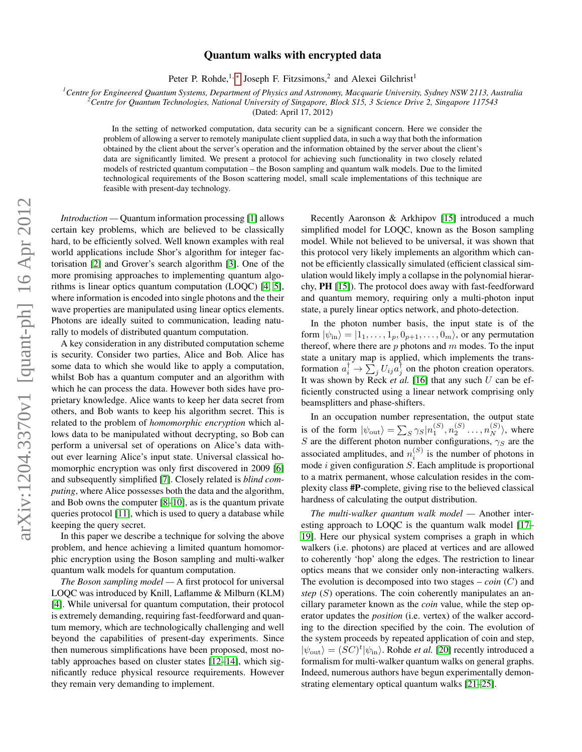## arXiv:1204.3370v1 [quant-ph] 16 Apr 2012 arXiv:1204.3370v1 [quant-ph] 16 Apr 2012

## Quantum walks with encrypted data

Peter P. Rohde,<sup>1,\*</sup> Joseph F. Fitzsimons,<sup>2</sup> and Alexei Gilchrist<sup>1</sup>

*<sup>1</sup>Centre for Engineered Quantum Systems, Department of Physics and Astronomy, Macquarie University, Sydney NSW 2113, Australia*

*<sup>2</sup>Centre for Quantum Technologies, National University of Singapore, Block S15, 3 Science Drive 2, Singapore 117543*

(Dated: April 17, 2012)

In the setting of networked computation, data security can be a significant concern. Here we consider the problem of allowing a server to remotely manipulate client supplied data, in such a way that both the information obtained by the client about the server's operation and the information obtained by the server about the client's data are significantly limited. We present a protocol for achieving such functionality in two closely related models of restricted quantum computation – the Boson sampling and quantum walk models. Due to the limited technological requirements of the Boson scattering model, small scale implementations of this technique are feasible with present-day technology.

*Introduction —* Quantum information processing [\[1\]](#page-3-1) allows certain key problems, which are believed to be classically hard, to be efficiently solved. Well known examples with real world applications include Shor's algorithm for integer factorisation [\[2\]](#page-3-2) and Grover's search algorithm [\[3\]](#page-3-3). One of the more promising approaches to implementing quantum algorithms is linear optics quantum computation (LOQC) [\[4,](#page-3-4) [5\]](#page-3-5), where information is encoded into single photons and the their wave properties are manipulated using linear optics elements. Photons are ideally suited to communication, leading naturally to models of distributed quantum computation.

A key consideration in any distributed computation scheme is security. Consider two parties, Alice and Bob. Alice has some data to which she would like to apply a computation, whilst Bob has a quantum computer and an algorithm with which he can process the data. However both sides have proprietary knowledge. Alice wants to keep her data secret from others, and Bob wants to keep his algorithm secret. This is related to the problem of *homomorphic encryption* which allows data to be manipulated without decrypting, so Bob can perform a universal set of operations on Alice's data without ever learning Alice's input state. Universal classical homomorphic encryption was only first discovered in 2009 [\[6\]](#page-3-6) and subsequently simplified [\[7\]](#page-3-7). Closely related is *blind computing*, where Alice possesses both the data and the algorithm, and Bob owns the computer [\[8–](#page-3-8)[10\]](#page-3-9), as is the quantum private queries protocol [\[11\]](#page-3-10), which is used to query a database while keeping the query secret.

In this paper we describe a technique for solving the above problem, and hence achieving a limited quantum homomorphic encryption using the Boson sampling and multi-walker quantum walk models for quantum computation.

*The Boson sampling model —* A first protocol for universal LOQC was introduced by Knill, Laflamme & Milburn (KLM) [\[4\]](#page-3-4). While universal for quantum computation, their protocol is extremely demanding, requiring fast-feedforward and quantum memory, which are technologically challenging and well beyond the capabilities of present-day experiments. Since then numerous simplifications have been proposed, most notably approaches based on cluster states [\[12–](#page-3-11)[14\]](#page-3-12), which significantly reduce physical resource requirements. However they remain very demanding to implement.

Recently Aaronson & Arkhipov [\[15\]](#page-3-13) introduced a much simplified model for LOQC, known as the Boson sampling model. While not believed to be universal, it was shown that this protocol very likely implements an algorithm which cannot be efficiently classically simulated (efficient classical simulation would likely imply a collapse in the polynomial hierarchy, PH [\[15\]](#page-3-13)). The protocol does away with fast-feedforward and quantum memory, requiring only a multi-photon input state, a purely linear optics network, and photo-detection.

In the photon number basis, the input state is of the form  $|\psi_{\rm in}\rangle = |1_1,\ldots,1_n,0_{n+1},\ldots,0_m\rangle$ , or any permutation thereof, where there are  $p$  photons and  $m$  modes. To the input state a unitary map is applied, which implements the transformation  $a_i^{\dagger} \rightarrow \sum_j U_{ij} a_j^{\dagger}$  on the photon creation operators. It was shown by Reck *et al.* [\[16\]](#page-3-14) that any such U can be efficiently constructed using a linear network comprising only beamsplitters and phase-shifters.

In an occupation number representation, the output state is of the form  $|\psi_{\text{out}}\rangle = \sum_{S} \gamma_S |n_1^{(S)}, n_2^{(S)} \dots, n_N^{(S)}\rangle$ , where S are the different photon number configurations,  $\gamma_S$  are the associated amplitudes, and  $n_i^{(S)}$  is the number of photons in mode  $i$  given configuration  $S$ . Each amplitude is proportional to a matrix permanent, whose calculation resides in the complexity class #P-complete, giving rise to the believed classical hardness of calculating the output distribution.

*The multi-walker quantum walk model —* Another interesting approach to LOQC is the quantum walk model [\[17–](#page-3-15) [19\]](#page-3-16). Here our physical system comprises a graph in which walkers (i.e. photons) are placed at vertices and are allowed to coherently 'hop' along the edges. The restriction to linear optics means that we consider only non-interacting walkers. The evolution is decomposed into two stages – *coin* (C) and *step* (S) operations. The coin coherently manipulates an ancillary parameter known as the *coin* value, while the step operator updates the *position* (i.e. vertex) of the walker according to the direction specified by the coin. The evolution of the system proceeds by repeated application of coin and step,  $|\psi_{\text{out}}\rangle = (SC)^{t} |\psi_{\text{in}}\rangle$ . Rohde *et al.* [\[20\]](#page-3-17) recently introduced a formalism for multi-walker quantum walks on general graphs. Indeed, numerous authors have begun experimentally demonstrating elementary optical quantum walks [\[21](#page-3-18)[–25\]](#page-3-19).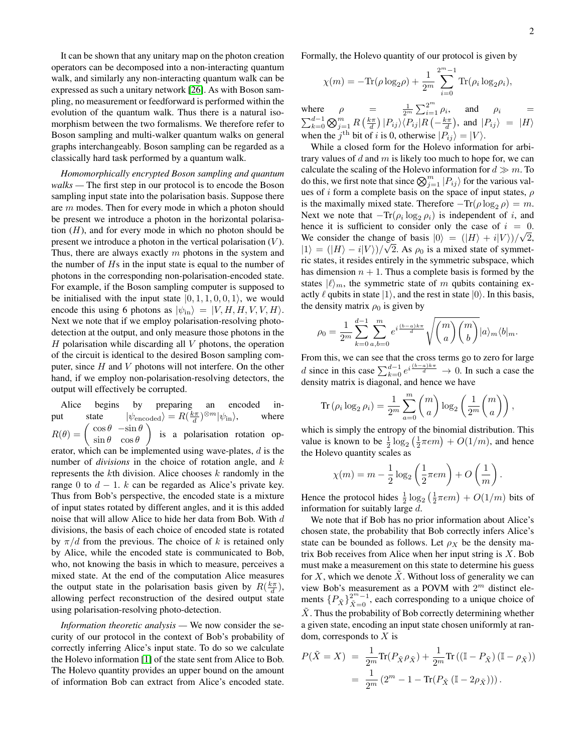It can be shown that any unitary map on the photon creation operators can be decomposed into a non-interacting quantum walk, and similarly any non-interacting quantum walk can be expressed as such a unitary network [\[26\]](#page-3-20). As with Boson sampling, no measurement or feedforward is performed within the evolution of the quantum walk. Thus there is a natural isomorphism between the two formalisms. We therefore refer to Boson sampling and multi-walker quantum walks on general graphs interchangeably. Boson sampling can be regarded as a classically hard task performed by a quantum walk.

*Homomorphically encrypted Boson sampling and quantum walks —* The first step in our protocol is to encode the Boson sampling input state into the polarisation basis. Suppose there are m modes. Then for every mode in which a photon should be present we introduce a photon in the horizontal polarisation  $(H)$ , and for every mode in which no photon should be present we introduce a photon in the vertical polarisation  $(V)$ . Thus, there are always exactly  $m$  photons in the system and the number of  $Hs$  in the input state is equal to the number of photons in the corresponding non-polarisation-encoded state. For example, if the Boson sampling computer is supposed to be initialised with the input state  $|0, 1, 1, 0, 0, 1\rangle$ , we would encode this using 6 photons as  $|\psi_{\text{in}}\rangle = |V, H, H, V, V, H\rangle$ . Next we note that if we employ polarisation-resolving photodetection at the output, and only measure those photons in the  $H$  polarisation while discarding all  $V$  photons, the operation of the circuit is identical to the desired Boson sampling computer, since H and V photons will not interfere. On the other hand, if we employ non-polarisation-resolving detectors, the output will effectively be corrupted.

Alice begins by preparing an encoded input state  $|\psi_{\text{encoded}}\rangle = R(\frac{k\pi}{d})^{\otimes m}|\psi_{\text{in}}\rangle$ , where  $R(\theta) =$  $\cos\theta$  − $\sin\theta$  $\sin \theta \quad \cos \theta$ ) is a polarisation rotation operator, which can be implemented using wave-plates,  $d$  is the number of *divisions* in the choice of rotation angle, and k represents the kth division. Alice chooses  $k$  randomly in the range 0 to  $d - 1$ . k can be regarded as Alice's private key. Thus from Bob's perspective, the encoded state is a mixture of input states rotated by different angles, and it is this added noise that will allow Alice to hide her data from Bob. With d divisions, the basis of each choice of encoded state is rotated by  $\pi/d$  from the previous. The choice of k is retained only by Alice, while the encoded state is communicated to Bob, who, not knowing the basis in which to measure, perceives a mixed state. At the end of the computation Alice measures the output state in the polarisation basis given by  $R(\frac{k\pi}{d})$ , allowing perfect reconstruction of the desired output state using polarisation-resolving photo-detection.

*Information theoretic analysis —* We now consider the security of our protocol in the context of Bob's probability of correctly inferring Alice's input state. To do so we calculate the Holevo information [\[1\]](#page-3-1) of the state sent from Alice to Bob. The Holevo quantity provides an upper bound on the amount of information Bob can extract from Alice's encoded state.

Formally, the Holevo quantity of our protocol is given by

$$
\chi(m) = -\text{Tr}(\rho \log_2 \rho) + \frac{1}{2^m} \sum_{i=0}^{2^m - 1} \text{Tr}(\rho_i \log_2 \rho_i),
$$

where  $\rho = \frac{1}{2^m} \sum_{i=1}^{2^m} \rho_i$ , and  $\rho_i =$  $\sum_{k=0}^{d-1} \bigotimes_{j=1}^m R\left(\frac{k\pi}{d}\right)|P_{ij}\rangle\langle P_{ij}|R\left(-\frac{k\pi}{d}\right)$ , and  $|P_{ij}\rangle = |H\rangle$ when the  $j^{\text{th}}$  bit of i is 0, otherwise  $|P_{ij}\rangle = |V\rangle$ .

While a closed form for the Holevo information for arbitrary values of  $d$  and  $m$  is likely too much to hope for, we can calculate the scaling of the Holevo information for  $d \gg m$ . To do this, we first note that since  $\bigotimes_{j=1}^{m} |P_{ij}\rangle$  for the various values of i form a complete basis on the space of input states,  $\rho$ is the maximally mixed state. Therefore  $-\text{Tr}(\rho \log_2 \rho) = m$ . Next we note that  $-\text{Tr}(\rho_i \log_2 \rho_i)$  is independent of i, and hence it is sufficient to consider only the case of  $i = 0$ . We consider the change of basis  $|0\rangle = (|H\rangle + i|V\rangle)/\sqrt{2}$ ,  $|1\rangle = (|H\rangle - i|V\rangle)/\sqrt{2}$ . As  $\rho_0$  is a mixed state of symmetric states, it resides entirely in the symmetric subspace, which has dimension  $n + 1$ . Thus a complete basis is formed by the states  $|\ell\rangle_m$ , the symmetric state of m qubits containing exactly  $\ell$  qubits in state  $|1\rangle$ , and the rest in state  $|0\rangle$ . In this basis, the density matrix  $\rho_0$  is given by

$$
\rho_0 = \frac{1}{2^m} \sum_{k=0}^{d-1} \sum_{a,b=0}^m e^{i \frac{(b-a)k\pi}{d}} \sqrt{\binom{m}{a} \binom{m}{b}} |a\rangle_m \langle b|_m.
$$

From this, we can see that the cross terms go to zero for large d since in this case  $\sum_{k=0}^{d-1} e^{i\frac{(b-a)k\pi}{d}} \to 0$ . In such a case the density matrix is diagonal, and hence we have

$$
\operatorname{Tr}\left(\rho_i \log_2 \rho_i\right) = \frac{1}{2^m} \sum_{a=0}^m \binom{m}{a} \log_2 \left(\frac{1}{2^m} \binom{m}{a}\right),
$$

which is simply the entropy of the binomial distribution. This value is known to be  $\frac{1}{2} \log_2(\frac{1}{2} \pi e m) + O(1/m)$ , and hence the Holevo quantity scales as

$$
\chi(m) = m - \frac{1}{2} \log_2 \left( \frac{1}{2} \pi e m \right) + O\left(\frac{1}{m}\right).
$$

Hence the protocol hides  $\frac{1}{2} \log_2 \left( \frac{1}{2} \pi e m \right) + O(1/m)$  bits of information for suitably large d.

We note that if Bob has no prior information about Alice's chosen state, the probability that Bob correctly infers Alice's state can be bounded as follows. Let  $\rho_X$  be the density matrix Bob receives from Alice when her input string is  $X$ . Bob must make a measurement on this state to determine his guess for X, which we denote  $\hat{X}$ . Without loss of generality we can view Bob's measurement as a POVM with  $2<sup>m</sup>$  distinct elements  $\{P_{\tilde{X}}\}_{\tilde{X}=0}^{2^m-1}$ , each corresponding to a unique choice of  $X$ . Thus the probability of Bob correctly determining whether a given state, encoding an input state chosen uniformly at random, corresponds to  $X$  is

$$
P(\tilde{X} = X) = \frac{1}{2^m} \text{Tr}(P_{\tilde{X}} \rho_{\tilde{X}}) + \frac{1}{2^m} \text{Tr}((\mathbb{I} - P_{\tilde{X}})(\mathbb{I} - \rho_{\tilde{X}}))
$$
  
=  $\frac{1}{2^m} (2^m - 1 - \text{Tr}(P_{\tilde{X}}(\mathbb{I} - 2\rho_{\tilde{X}}))).$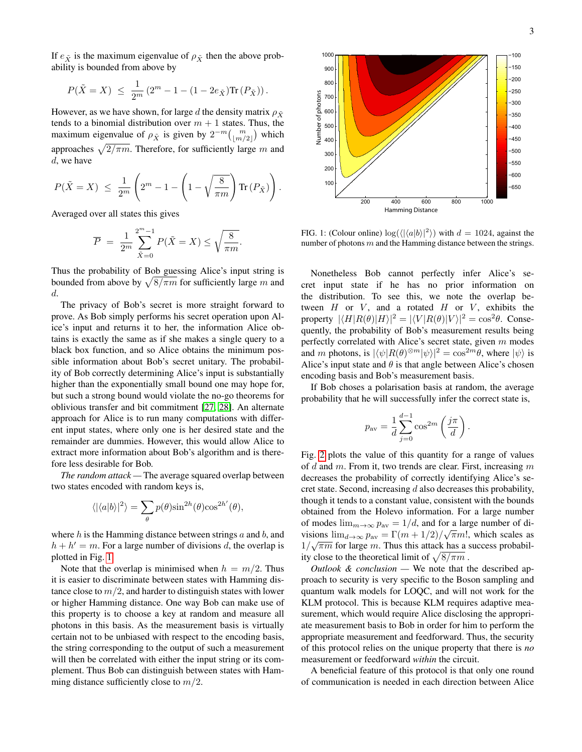If  $e_{\tilde{X}}$  is the maximum eigenvalue of  $\rho_{\tilde{X}}$  then the above probability is bounded from above by

$$
P(\tilde{X} = X) \le \frac{1}{2^m} \left( 2^m - 1 - (1 - 2e_{\tilde{X}}) \text{Tr} \left( P_{\tilde{X}} \right) \right).
$$

However, as we have shown, for large d the density matrix  $\rho_{\tilde{Y}}$ tends to a binomial distribution over  $m + 1$  states. Thus, the maximum eigenvalue of  $\rho_{\tilde{X}}$  is given by  $2^{-m} \binom{m}{|m/2|}$  which approaches  $\sqrt{2/\pi m}$ . Therefore, for sufficiently large m and d, we have

$$
P(\tilde{X} = X) \le \frac{1}{2^m} \left( 2^m - 1 - \left( 1 - \sqrt{\frac{8}{\pi m}} \right) \text{Tr} \left( P_{\tilde{X}} \right) \right).
$$

Averaged over all states this gives

$$
\overline{P} = \frac{1}{2^m} \sum_{\tilde{X}=0}^{2^m-1} P(\tilde{X} = X) \le \sqrt{\frac{8}{\pi m}}.
$$

Thus the probability of Bob guessing Alice's input string is bounded from above by  $\sqrt{8/\pi m}$  for sufficiently large m and d.

The privacy of Bob's secret is more straight forward to prove. As Bob simply performs his secret operation upon Alice's input and returns it to her, the information Alice obtains is exactly the same as if she makes a single query to a black box function, and so Alice obtains the minimum possible information about Bob's secret unitary. The probability of Bob correctly determining Alice's input is substantially higher than the exponentially small bound one may hope for, but such a strong bound would violate the no-go theorems for oblivious transfer and bit commitment [\[27,](#page-3-21) [28\]](#page-3-22). An alternate approach for Alice is to run many computations with different input states, where only one is her desired state and the remainder are dummies. However, this would allow Alice to extract more information about Bob's algorithm and is therefore less desirable for Bob.

*The random attack —* The average squared overlap between two states encoded with random keys is,

$$
\langle |\langle a|b\rangle|^2\rangle = \sum_{\theta} p(\theta) \sin^{2h}(\theta) \cos^{2h'}(\theta),
$$

where  $h$  is the Hamming distance between strings  $a$  and  $b$ , and  $h + h' = m$ . For a large number of divisions d, the overlap is plotted in Fig. [1.](#page-2-0)

Note that the overlap is minimised when  $h = m/2$ . Thus it is easier to discriminate between states with Hamming distance close to  $m/2$ , and harder to distinguish states with lower or higher Hamming distance. One way Bob can make use of this property is to choose a key at random and measure all photons in this basis. As the measurement basis is virtually certain not to be unbiased with respect to the encoding basis, the string corresponding to the output of such a measurement will then be correlated with either the input string or its complement. Thus Bob can distinguish between states with Hamming distance sufficiently close to  $m/2$ .



<span id="page-2-0"></span>FIG. 1: (Colour online)  $\log(\langle |\langle a|b \rangle|^2 \rangle)$  with  $d = 1024$ , against the number of photons  $m$  and the Hamming distance between the strings.

Nonetheless Bob cannot perfectly infer Alice's secret input state if he has no prior information on the distribution. To see this, we note the overlap between  $H$  or  $V$ , and a rotated  $H$  or  $V$ , exhibits the property  $|\langle H|R(\theta)|H\rangle|^2 = |\langle V|R(\theta)|V\rangle|^2 = \cos^2\theta$ . Consequently, the probability of Bob's measurement results being perfectly correlated with Alice's secret state, given  $m$  modes and m photons, is  $|\langle \psi| R(\theta)^{\otimes m} | \psi \rangle|^2 = \cos^{2m} \theta$ , where  $|\psi \rangle$  is Alice's input state and  $\theta$  is that angle between Alice's chosen encoding basis and Bob's measurement basis.

If Bob choses a polarisation basis at random, the average probability that he will successfully infer the correct state is,

$$
p_{\rm av} = \frac{1}{d} \sum_{j=0}^{d-1} \cos^{2m} \left( \frac{j\pi}{d} \right)
$$

.

Fig. [2](#page-3-23) plots the value of this quantity for a range of values of  $d$  and  $m$ . From it, two trends are clear. First, increasing  $m$ decreases the probability of correctly identifying Alice's secret state. Second, increasing d also decreases this probability, though it tends to a constant value, consistent with the bounds obtained from the Holevo information. For a large number of modes  $\lim_{m\to\infty} p_{av} = 1/d$ , and for a large number of divisions  $\lim_{d\to\infty} p_{av} = \Gamma(m+1/2)/\sqrt{\pi}m!$ , which scales as  $1/\sqrt{\pi m}$  for large m. Thus this attack has a success probability close to the theoretical limit of  $\sqrt{8/\pi m}$ .

*Outlook & conclusion —* We note that the described approach to security is very specific to the Boson sampling and quantum walk models for LOQC, and will not work for the KLM protocol. This is because KLM requires adaptive measurement, which would require Alice disclosing the appropriate measurement basis to Bob in order for him to perform the appropriate measurement and feedforward. Thus, the security of this protocol relies on the unique property that there is *no* measurement or feedforward *within* the circuit.

A beneficial feature of this protocol is that only one round of communication is needed in each direction between Alice